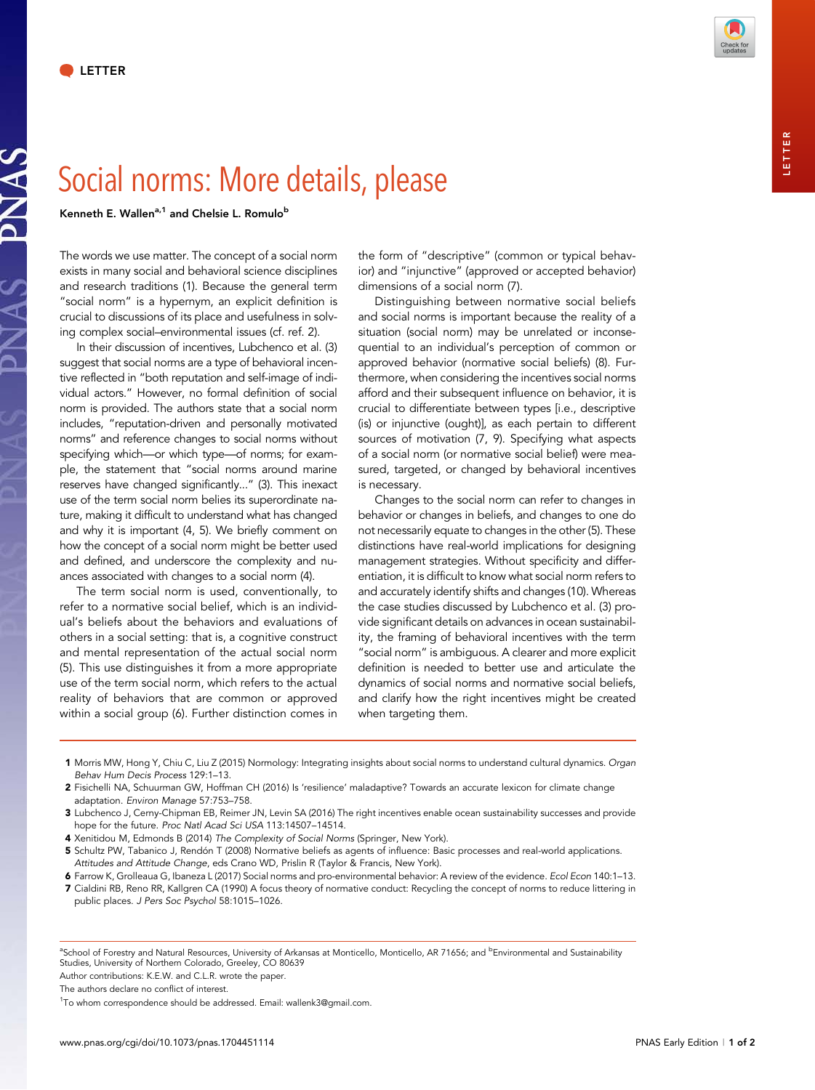JAS



## Social norms: More details, please

Kenneth E. Wallen<sup>a,1</sup> and Chelsie L. Romulo<sup>b</sup>

The words we use matter. The concept of a social norm exists in many social and behavioral science disciplines and research traditions (1). Because the general term "social norm" is a hypernym, an explicit definition is crucial to discussions of its place and usefulness in solving complex social–environmental issues (cf. ref. 2).

In their discussion of incentives, Lubchenco et al. (3) suggest that social norms are a type of behavioral incentive reflected in "both reputation and self-image of individual actors." However, no formal definition of social norm is provided. The authors state that a social norm includes, "reputation-driven and personally motivated norms" and reference changes to social norms without specifying which—or which type—of norms; for example, the statement that "social norms around marine reserves have changed significantly..." (3). This inexact use of the term social norm belies its superordinate nature, making it difficult to understand what has changed and why it is important (4, 5). We briefly comment on how the concept of a social norm might be better used and defined, and underscore the complexity and nuances associated with changes to a social norm (4).

The term social norm is used, conventionally, to refer to a normative social belief, which is an individual's beliefs about the behaviors and evaluations of others in a social setting: that is, a cognitive construct and mental representation of the actual social norm (5). This use distinguishes it from a more appropriate use of the term social norm, which refers to the actual reality of behaviors that are common or approved within a social group (6). Further distinction comes in

the form of "descriptive" (common or typical behavior) and "injunctive" (approved or accepted behavior) dimensions of a social norm (7).

Distinguishing between normative social beliefs and social norms is important because the reality of a situation (social norm) may be unrelated or inconsequential to an individual's perception of common or approved behavior (normative social beliefs) (8). Furthermore, when considering the incentives social norms afford and their subsequent influence on behavior, it is crucial to differentiate between types [i.e., descriptive (is) or injunctive (ought)], as each pertain to different sources of motivation (7, 9). Specifying what aspects of a social norm (or normative social belief) were measured, targeted, or changed by behavioral incentives is necessary.

Changes to the social norm can refer to changes in behavior or changes in beliefs, and changes to one do not necessarily equate to changes in the other (5). These distinctions have real-world implications for designing management strategies. Without specificity and differentiation, it is difficult to know what social norm refers to and accurately identify shifts and changes (10). Whereas the case studies discussed by Lubchenco et al. (3) provide significant details on advances in ocean sustainability, the framing of behavioral incentives with the term "social norm" is ambiguous. A clearer and more explicit definition is needed to better use and articulate the dynamics of social norms and normative social beliefs, and clarify how the right incentives might be created when targeting them.

- 1 Morris MW, Hong Y, Chiu C, Liu Z (2015) Normology: Integrating insights about social norms to understand cultural dynamics. Organ Behav Hum Decis Process 129:1–13.
- 2 Fisichelli NA, Schuurman GW, Hoffman CH (2016) Is 'resilience' maladaptive? Towards an accurate lexicon for climate change adaptation. Environ Manage 57:753–758.
- 3 Lubchenco J, Cerny-Chipman EB, Reimer JN, Levin SA (2016) The right incentives enable ocean sustainability successes and provide hope for the future. Proc Natl Acad Sci USA 113:14507–14514.
- 4 Xenitidou M, Edmonds B (2014) The Complexity of Social Norms (Springer, New York).
- 5 Schultz PW, Tabanico J, Rendón T (2008) Normative beliefs as agents of influence: Basic processes and real-world applications. Attitudes and Attitude Change, eds Crano WD, Prislin R (Taylor & Francis, New York).
- 6 Farrow K, Grolleaua G, Ibaneza L (2017) Social norms and pro-environmental behavior: A review of the evidence. Ecol Econ 140:1–13.
- 7 Cialdini RB, Reno RR, Kallgren CA (1990) A focus theory of normative conduct: Recycling the concept of norms to reduce littering in public places. J Pers Soc Psychol 58:1015–1026.

<sup>a</sup>School of Forestry and Natural Resources, University of Arkansas at Monticello, Monticello, AR 71656; and <sup>b</sup>Environmental and Sustainability Studies, University of Northern Colorado, Greeley, CO 80639

Author contributions: K.E.W. and C.L.R. wrote the paper.

The authors declare no conflict of interest.

<sup>&</sup>lt;sup>1</sup>To whom correspondence should be addressed. Email: [wallenk3@gmail.com](mailto:wallenk3@gmail.com).